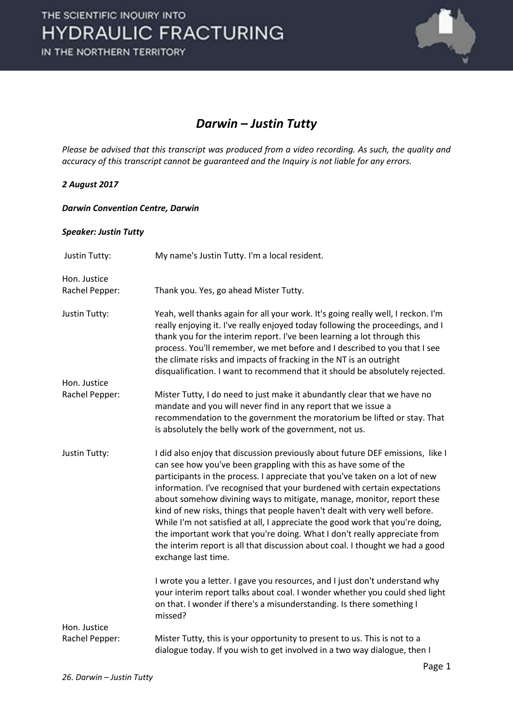

# *Darwin – Justin Tutty*

*Please be advised that this transcript was produced from a video recording. As such, the quality and accuracy of this transcript cannot be guaranteed and the Inquiry is not liable for any errors.*

## *2 August 2017*

#### *Darwin Convention Centre, Darwin*

### *Speaker: Justin Tutty*

| Justin Tutty:        | My name's Justin Tutty. I'm a local resident.                                                                                                                                                                                                                                                                                                                                                                                                                                                                                                                                                                                                                                                                                               |
|----------------------|---------------------------------------------------------------------------------------------------------------------------------------------------------------------------------------------------------------------------------------------------------------------------------------------------------------------------------------------------------------------------------------------------------------------------------------------------------------------------------------------------------------------------------------------------------------------------------------------------------------------------------------------------------------------------------------------------------------------------------------------|
| Hon. Justice         |                                                                                                                                                                                                                                                                                                                                                                                                                                                                                                                                                                                                                                                                                                                                             |
| Rachel Pepper:       | Thank you. Yes, go ahead Mister Tutty.                                                                                                                                                                                                                                                                                                                                                                                                                                                                                                                                                                                                                                                                                                      |
| <b>Justin Tutty:</b> | Yeah, well thanks again for all your work. It's going really well, I reckon. I'm<br>really enjoying it. I've really enjoyed today following the proceedings, and I<br>thank you for the interim report. I've been learning a lot through this<br>process. You'll remember, we met before and I described to you that I see<br>the climate risks and impacts of fracking in the NT is an outright<br>disqualification. I want to recommend that it should be absolutely rejected.                                                                                                                                                                                                                                                            |
| Hon. Justice         |                                                                                                                                                                                                                                                                                                                                                                                                                                                                                                                                                                                                                                                                                                                                             |
| Rachel Pepper:       | Mister Tutty, I do need to just make it abundantly clear that we have no<br>mandate and you will never find in any report that we issue a<br>recommendation to the government the moratorium be lifted or stay. That<br>is absolutely the belly work of the government, not us.                                                                                                                                                                                                                                                                                                                                                                                                                                                             |
| Justin Tutty:        | I did also enjoy that discussion previously about future DEF emissions, like I<br>can see how you've been grappling with this as have some of the<br>participants in the process. I appreciate that you've taken on a lot of new<br>information. I've recognised that your burdened with certain expectations<br>about somehow divining ways to mitigate, manage, monitor, report these<br>kind of new risks, things that people haven't dealt with very well before.<br>While I'm not satisfied at all, I appreciate the good work that you're doing,<br>the important work that you're doing. What I don't really appreciate from<br>the interim report is all that discussion about coal. I thought we had a good<br>exchange last time. |
| Hon. Justice         | I wrote you a letter. I gave you resources, and I just don't understand why<br>your interim report talks about coal. I wonder whether you could shed light<br>on that. I wonder if there's a misunderstanding. Is there something I<br>missed?                                                                                                                                                                                                                                                                                                                                                                                                                                                                                              |
| Rachel Pepper:       | Mister Tutty, this is your opportunity to present to us. This is not to a                                                                                                                                                                                                                                                                                                                                                                                                                                                                                                                                                                                                                                                                   |
|                      | dialogue today. If you wish to get involved in a two way dialogue, then I                                                                                                                                                                                                                                                                                                                                                                                                                                                                                                                                                                                                                                                                   |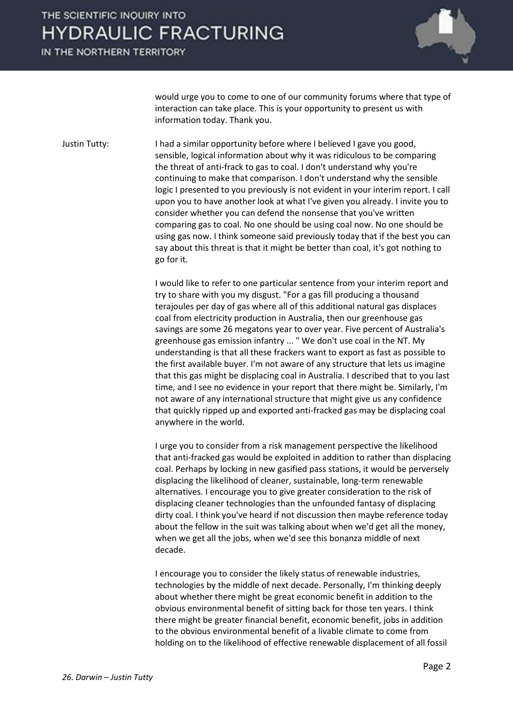# THE SCIENTIFIC INQUIRY INTO **HYDRAULIC FRACTURING**

IN THE NORTHERN TERRITORY



would urge you to come to one of our community forums where that type of interaction can take place. This is your opportunity to present us with information today. Thank you.

Justin Tutty: I had a similar opportunity before where I believed I gave you good, sensible, logical information about why it was ridiculous to be comparing the threat of anti-frack to gas to coal. I don't understand why you're continuing to make that comparison. I don't understand why the sensible logic I presented to you previously is not evident in your interim report. I call upon you to have another look at what I've given you already. I invite you to consider whether you can defend the nonsense that you've written comparing gas to coal. No one should be using coal now. No one should be using gas now. I think someone said previously today that if the best you can say about this threat is that it might be better than coal, it's got nothing to go for it.

> I would like to refer to one particular sentence from your interim report and try to share with you my disgust. "For a gas fill producing a thousand terajoules per day of gas where all of this additional natural gas displaces coal from electricity production in Australia, then our greenhouse gas savings are some 26 megatons year to over year. Five percent of Australia's greenhouse gas emission infantry ... " We don't use coal in the NT. My understanding is that all these frackers want to export as fast as possible to the first available buyer. I'm not aware of any structure that lets us imagine that this gas might be displacing coal in Australia. I described that to you last time, and I see no evidence in your report that there might be. Similarly, I'm not aware of any international structure that might give us any confidence that quickly ripped up and exported anti-fracked gas may be displacing coal anywhere in the world.

> I urge you to consider from a risk management perspective the likelihood that anti-fracked gas would be exploited in addition to rather than displacing coal. Perhaps by locking in new gasified pass stations, it would be perversely displacing the likelihood of cleaner, sustainable, long-term renewable alternatives. I encourage you to give greater consideration to the risk of displacing cleaner technologies than the unfounded fantasy of displacing dirty coal. I think you've heard if not discussion then maybe reference today about the fellow in the suit was talking about when we'd get all the money, when we get all the jobs, when we'd see this bonanza middle of next decade.

 I encourage you to consider the likely status of renewable industries, technologies by the middle of next decade. Personally, I'm thinking deeply about whether there might be great economic benefit in addition to the obvious environmental benefit of sitting back for those ten years. I think there might be greater financial benefit, economic benefit, jobs in addition to the obvious environmental benefit of a livable climate to come from holding on to the likelihood of effective renewable displacement of all fossil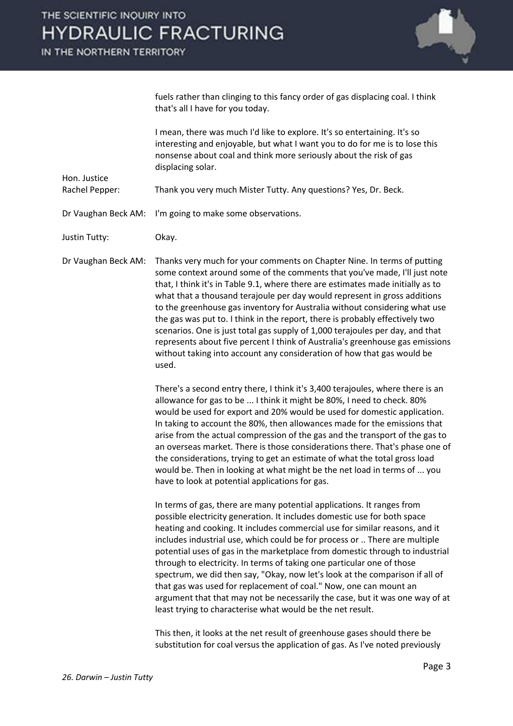

fuels rather than clinging to this fancy order of gas displacing coal. I think that's all I have for you today.

 I mean, there was much I'd like to explore. It's so entertaining. It's so interesting and enjoyable, but what I want you to do for me is to lose this nonsense about coal and think more seriously about the risk of gas displacing solar.

Rachel Pepper: Thank you very much Mister Tutty. Any questions? Yes, Dr. Beck.

Dr Vaughan Beck AM: I'm going to make some observations.

Justin Tutty: Okay.

Hon. Justice

Dr Vaughan Beck AM: Thanks very much for your comments on Chapter Nine. In terms of putting some context around some of the comments that you've made, I'll just note that, I think it's in Table 9.1, where there are estimates made initially as to what that a thousand terajoule per day would represent in gross additions to the greenhouse gas inventory for Australia without considering what use the gas was put to. I think in the report, there is probably effectively two scenarios. One is just total gas supply of 1,000 terajoules per day, and that represents about five percent I think of Australia's greenhouse gas emissions without taking into account any consideration of how that gas would be used.

> There's a second entry there, I think it's 3,400 terajoules, where there is an allowance for gas to be ... I think it might be 80%, I need to check. 80% would be used for export and 20% would be used for domestic application. In taking to account the 80%, then allowances made for the emissions that arise from the actual compression of the gas and the transport of the gas to an overseas market. There is those considerations there. That's phase one of the considerations, trying to get an estimate of what the total gross load would be. Then in looking at what might be the net load in terms of ... you have to look at potential applications for gas.

> In terms of gas, there are many potential applications. It ranges from possible electricity generation. It includes domestic use for both space heating and cooking. It includes commercial use for similar reasons, and it includes industrial use, which could be for process or .. There are multiple potential uses of gas in the marketplace from domestic through to industrial through to electricity. In terms of taking one particular one of those spectrum, we did then say, "Okay, now let's look at the comparison if all of that gas was used for replacement of coal." Now, one can mount an argument that that may not be necessarily the case, but it was one way of at least trying to characterise what would be the net result.

 This then, it looks at the net result of greenhouse gases should there be substitution for coal versus the application of gas. As I've noted previously